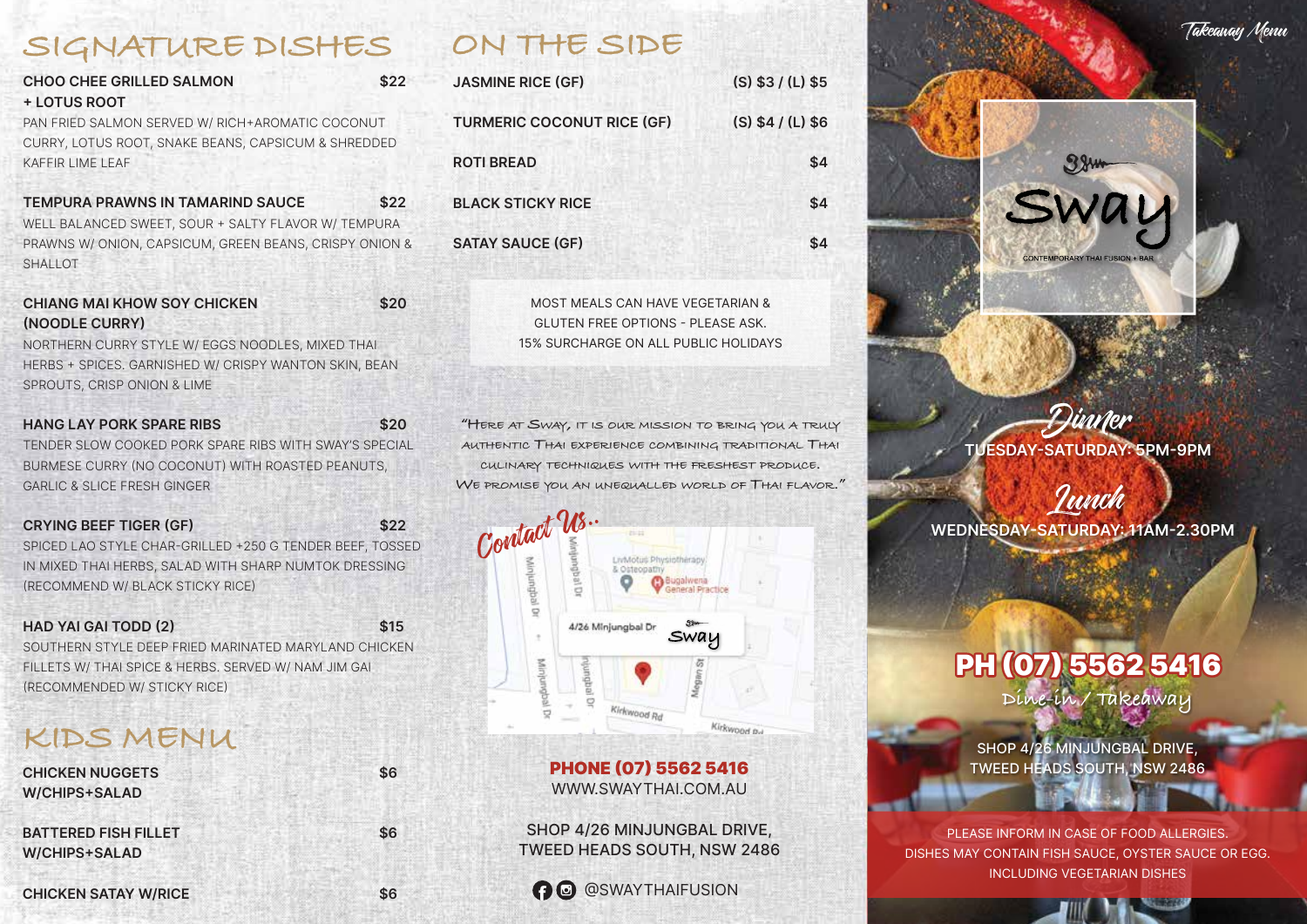### **SIGNATURE DISHES**

| <b>CHOO CHEE GRILLED SALMON</b>                     | \$22 |
|-----------------------------------------------------|------|
| + LOTUS ROOT                                        |      |
| PAN FRIED SALMON SERVED W/ RICH+AROMATIC COCONUT    |      |
| CURRY, LOTUS ROOT, SNAKE BEANS, CAPSICUM & SHREDDED |      |
| KAFFIR LIME LEAF                                    |      |
|                                                     |      |

**TEMPURA PRAWNS IN TAMARIND SAUCE \$22** WELL BALANCED SWEET, SOUR + SALTY FLAVOR W/ TEMPURA PRAWNS W/ ONION, CAPSICUM, GREEN BEANS, CRISPY ONION & SHALLOT

| <b>CHIANG MAI KHOW SOY CHICKEN</b> |  | \$20 |
|------------------------------------|--|------|
| (NOODLE CURRY)                     |  |      |

NORTHERN CURRY STYLE W/ EGGS NOODLES, MIXED THAI HERBS + SPICES. GARNISHED W/ CRISPY WANTON SKIN, BEAN SPROUTS, CRISP ONION & LIME

| <b>HANG LAY PORK SPARE RIBS</b>                        | \$20 |
|--------------------------------------------------------|------|
| TENDER SLOW COOKED PORK SPARE RIBS WITH SWAY'S SPECIAL |      |
| BURMESE CURRY (NO COCONUT) WITH ROASTED PEANUTS,       |      |
| <b>GARLIC &amp; SLICE FRESH GINGER</b>                 |      |

| <b>CRYING BEEF TIGER (GF)</b>                            | \$22 |
|----------------------------------------------------------|------|
| SPICED LAO STYLE CHAR-GRILLED +250 G TENDER BEEF, TOSSED |      |
| IN MIXED THAI HERBS, SALAD WITH SHARP NUMTOK DRESSING    |      |
| (RECOMMEND W/ BLACK STICKY RICE)                         |      |

**HAD YAI GAI TODD (2) \$15** SOUTHERN STYLE DEEP FRIED MARINATED MARYLAND CHICKEN FILLETS W/ THAI SPICE & HERBS. SERVED W/ NAM JIM GAI (RECOMMENDED W/ STICKY RICE)

### **KIDS MENU**

| <b>CHICKEN NUGGETS</b>      | \$6 |
|-----------------------------|-----|
| <b>W/CHIPS+SALAD</b>        |     |
| <b>BATTERED FISH FILLET</b> | \$6 |
| <b>W/CHIPS+SALAD</b>        |     |
| <b>CHICKEN SATAY W/RICE</b> | \$6 |

### **ON THE SIDE**

| <b>JASMINE RICE (GF)</b>          | $(S)$ \$3 / (L) \$5 |
|-----------------------------------|---------------------|
| <b>TURMERIC COCONUT RICE (GF)</b> | $(S)$ \$4 / (L) \$6 |
| <b>ROTI BREAD</b>                 | \$4                 |
| <b>BLACK STICKY RICE</b>          | \$4                 |
| <b>SATAY SAUCE (GF)</b>           | \$4                 |

MOST MEALS CAN HAVE VEGETARIAN & GLUTEN FREE OPTIONS - PLEASE ASK. 15% SURCHARGE ON ALL PUBLIC HOLIDAYS

**"HERE AT SWAY, IT IS OUR MISSION TO BRING YOU A TRULY AUTHENTIC THAI EXPERIENCE COMBINING TRADITIONAL THAI CULINARY TECHNIQUES WITH THE FRESHEST PRODUCE. WE PROMISE YOU AN UNEQUALLED WORLD OF THAI FLAVOR."**



### PHONE (07) 5562 5416 WWW.SWAYTHAI.COM.AU

SHOP 4/26 MINJUNGBAL DRIVE, TWEED HEADS SOUTH, NSW 2486

### **O** @SWAYTHAIFUSION



**TUESDAY-SATURDAY: 5PM-9PM** Dinner

**WEDNESDAY-SATURDAY: 11AM-2.30PM** Lunch

# PH (07) 5562 5416

**Dine-in / Takeaway**

SHOP 4/26 MINJUNGBAL DRIVE, TWEED HEADS SOUTH, NSW 2486

PLEASE INFORM IN CASE OF FOOD ALLERGIES. DISHES MAY CONTAIN FISH SAUCE, OYSTER SAUCE OR EGG. INCLUDING VEGETARIAN DISHES